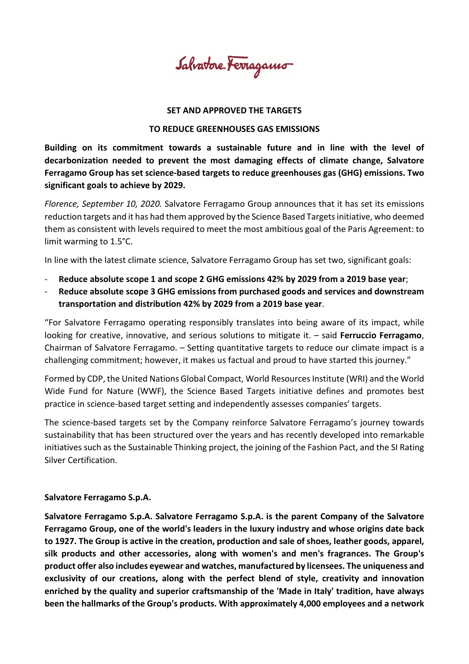Salvatore Ferragamo

## **SET AND APPROVED THE TARGETS**

## **TO REDUCE GREENHOUSES GAS EMISSIONS**

**Building on its commitment towards a sustainable future and in line with the level of decarbonization needed to prevent the most damaging effects of climate change, Salvatore Ferragamo Group has set science-based targets to reduce greenhouses gas (GHG) emissions. Two significant goals to achieve by 2029.**

*Florence, September 10, 2020.* Salvatore Ferragamo Group announces that it has set its emissions reduction targets and it has had them approved by the Science Based Targets initiative, who deemed them as consistent with levels required to meet the most ambitious goal of the Paris Agreement: to limit warming to 1.5°C.

In line with the latest climate science, Salvatore Ferragamo Group has set two, significant goals:

- **Reduce absolute scope 1 and scope 2 GHG emissions 42% by 2029 from a 2019 base year**;
- **Reduce absolute scope 3 GHG emissions from purchased goods and services and downstream transportation and distribution 42% by 2029 from a 2019 base year**.

"For Salvatore Ferragamo operating responsibly translates into being aware of its impact, while looking for creative, innovative, and serious solutions to mitigate it. – said **Ferruccio Ferragamo**, Chairman of Salvatore Ferragamo. – Setting quantitative targets to reduce our climate impact is a challenging commitment; however, it makes us factual and proud to have started this journey."

Formed by CDP, the United Nations Global Compact, World Resources Institute (WRI) and the World Wide Fund for Nature (WWF), the Science Based Targets initiative defines and promotes best practice in science-based target setting and independently assesses companies' targets.

The science-based targets set by the Company reinforce Salvatore Ferragamo's journey towards sustainability that has been structured over the years and has recently developed into remarkable initiatives such as the Sustainable Thinking project, the joining of the Fashion Pact, and the SI Rating Silver Certification.

## **Salvatore Ferragamo S.p.A.**

**Salvatore Ferragamo S.p.A. Salvatore Ferragamo S.p.A. is the parent Company of the Salvatore Ferragamo Group, one of the world's leaders in the luxury industry and whose origins date back to 1927. The Group is active in the creation, production and sale of shoes, leather goods, apparel, silk products and other accessories, along with women's and men's fragrances. The Group's product offer also includes eyewear and watches, manufactured by licensees. The uniqueness and exclusivity of our creations, along with the perfect blend of style, creativity and innovation enriched by the quality and superior craftsmanship of the 'Made in Italy' tradition, have always been the hallmarks of the Group's products. With approximately 4,000 employees and a network**